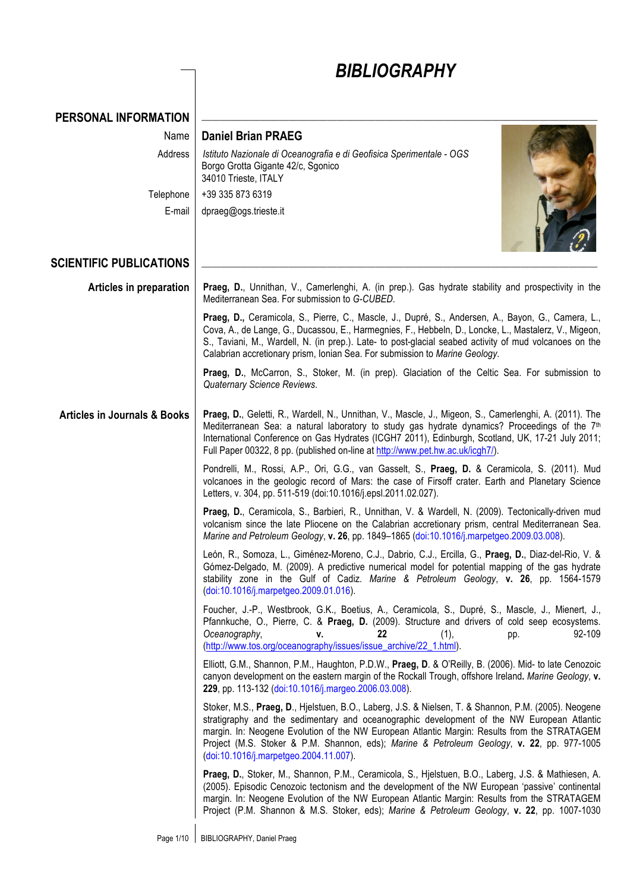|                                         | <b>BIBLIOGRAPHY</b>                                                                                                                                                                                                                                                                                                                                                                                                                        |
|-----------------------------------------|--------------------------------------------------------------------------------------------------------------------------------------------------------------------------------------------------------------------------------------------------------------------------------------------------------------------------------------------------------------------------------------------------------------------------------------------|
| PERSONAL INFORMATION                    |                                                                                                                                                                                                                                                                                                                                                                                                                                            |
| Name                                    | <b>Daniel Brian PRAEG</b>                                                                                                                                                                                                                                                                                                                                                                                                                  |
| Address                                 | Istituto Nazionale di Oceanografia e di Geofisica Sperimentale - OGS<br>Borgo Grotta Gigante 42/c, Sgonico<br>34010 Trieste, ITALY                                                                                                                                                                                                                                                                                                         |
| Telephone                               | +39 335 873 6319                                                                                                                                                                                                                                                                                                                                                                                                                           |
| E-mail                                  | dpraeg@ogs.trieste.it                                                                                                                                                                                                                                                                                                                                                                                                                      |
| <b>SCIENTIFIC PUBLICATIONS</b>          |                                                                                                                                                                                                                                                                                                                                                                                                                                            |
| Articles in preparation                 | Praeg, D., Unnithan, V., Camerlenghi, A. (in prep.). Gas hydrate stability and prospectivity in the<br>Mediterranean Sea. For submission to G-CUBED.                                                                                                                                                                                                                                                                                       |
|                                         | Praeg, D., Ceramicola, S., Pierre, C., Mascle, J., Dupré, S., Andersen, A., Bayon, G., Camera, L.,<br>Cova, A., de Lange, G., Ducassou, E., Harmegnies, F., Hebbeln, D., Loncke, L., Mastalerz, V., Migeon,<br>S., Taviani, M., Wardell, N. (in prep.). Late- to post-glacial seabed activity of mud volcanoes on the<br>Calabrian accretionary prism, Ionian Sea. For submission to Marine Geology.                                       |
|                                         | Praeg, D., McCarron, S., Stoker, M. (in prep). Glaciation of the Celtic Sea. For submission to<br>Quaternary Science Reviews.                                                                                                                                                                                                                                                                                                              |
| <b>Articles in Journals &amp; Books</b> | Praeg, D., Geletti, R., Wardell, N., Unnithan, V., Mascle, J., Migeon, S., Camerlenghi, A. (2011). The<br>Mediterranean Sea: a natural laboratory to study gas hydrate dynamics? Proceedings of the 7 <sup>th</sup><br>International Conference on Gas Hydrates (ICGH7 2011), Edinburgh, Scotland, UK, 17-21 July 2011;<br>Full Paper 00322, 8 pp. (published on-line at http://www.pet.hw.ac.uk/icgh7/).                                  |
|                                         | Pondrelli, M., Rossi, A.P., Ori, G.G., van Gasselt, S., Praeg, D. & Ceramicola, S. (2011). Mud<br>volcanoes in the geologic record of Mars: the case of Firsoff crater. Earth and Planetary Science<br>Letters, v. 304, pp. 511-519 (doi:10.1016/j.epsl.2011.02.027).                                                                                                                                                                      |
|                                         | Praeg, D., Ceramicola, S., Barbieri, R., Unnithan, V. & Wardell, N. (2009). Tectonically-driven mud<br>volcanism since the late Pliocene on the Calabrian accretionary prism, central Mediterranean Sea.<br>Marine and Petroleum Geology, v. 26, pp. 1849–1865 (doi:10.1016/j.marpetgeo.2009.03.008).                                                                                                                                      |
|                                         | León, R., Somoza, L., Giménez-Moreno, C.J., Dabrio, C.J., Ercilla, G., Praeg, D., Diaz-del-Rio, V. &<br>Gómez-Delgado, M. (2009). A predictive numerical model for potential mapping of the gas hydrate<br>stability zone in the Gulf of Cadiz. Marine & Petroleum Geology, v. 26, pp. 1564-1579<br>(doi:10.1016/j.marpetgeo.2009.01.016).                                                                                                 |
|                                         | Foucher, J.-P., Westbrook, G.K., Boetius, A., Ceramicola, S., Dupré, S., Mascle, J., Mienert, J.,<br>Pfannkuche, O., Pierre, C. & Praeg, D. (2009). Structure and drivers of cold seep ecosystems.<br>22<br>92-109<br>Oceanography,<br>(1),<br>v.<br>pp.<br>(http://www.tos.org/oceanography/issues/issue_archive/22_1.html).                                                                                                              |
|                                         | Elliott, G.M., Shannon, P.M., Haughton, P.D.W., Praeg, D. & O'Reilly, B. (2006). Mid- to late Cenozoic<br>canyon development on the eastern margin of the Rockall Trough, offshore Ireland. Marine Geology, v.<br>229, pp. 113-132 (doi:10.1016/j.margeo.2006.03.008).                                                                                                                                                                     |
|                                         | Stoker, M.S., Praeg, D., Hjelstuen, B.O., Laberg, J.S. & Nielsen, T. & Shannon, P.M. (2005). Neogene<br>stratigraphy and the sedimentary and oceanographic development of the NW European Atlantic<br>margin. In: Neogene Evolution of the NW European Atlantic Margin: Results from the STRATAGEM<br>Project (M.S. Stoker & P.M. Shannon, eds); Marine & Petroleum Geology, v. 22, pp. 977-1005<br>(doi:10.1016/j.marpetgeo.2004.11.007). |
|                                         | Praeg, D., Stoker, M., Shannon, P.M., Ceramicola, S., Hjelstuen, B.O., Laberg, J.S. & Mathiesen, A.<br>(2005). Episodic Cenozoic tectonism and the development of the NW European 'passive' continental<br>margin. In: Neogene Evolution of the NW European Atlantic Margin: Results from the STRATAGEM<br>Project (P.M. Shannon & M.S. Stoker, eds); Marine & Petroleum Geology, v. 22, pp. 1007-1030                                     |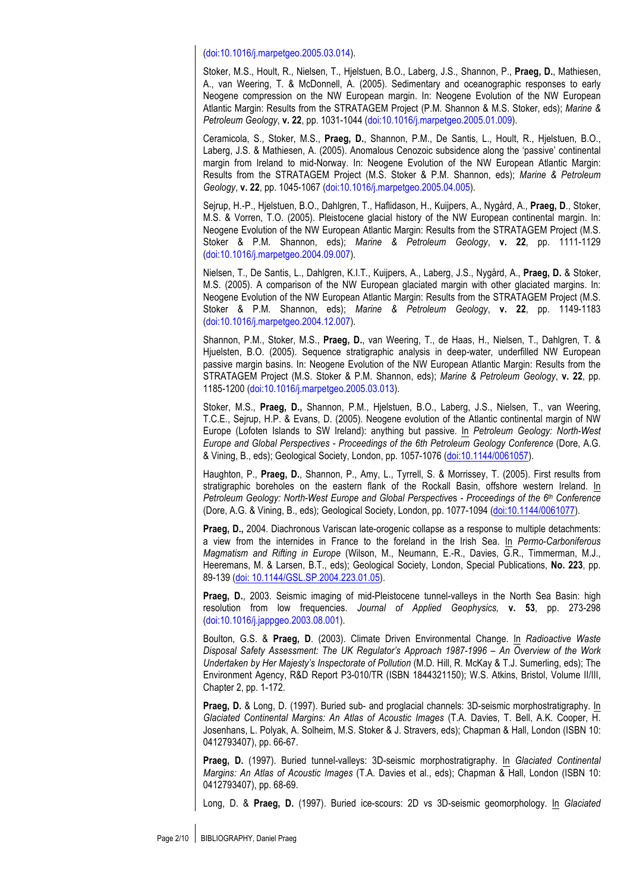#### (doi:10.1016/j.marpetgeo.2005.03.014).

Stoker, M.S., Hoult, R., Nielsen, T., Hjelstuen, B.O., Laberg, J.S., Shannon, P., **Praeg, D.**, Mathiesen, A., van Weering, T. & McDonnell, A. (2005). Sedimentary and oceanographic responses to early Neogene compression on the NW European margin. In: Neogene Evolution of the NW European Atlantic Margin: Results from the STRATAGEM Project (P.M. Shannon & M.S. Stoker, eds); *Marine & Petroleum Geology*, **v. 22**, pp. 1031-1044 (doi:10.1016/j.marpetgeo.2005.01.009).

Ceramicola, S., Stoker, M.S., **Praeg, D.**, Shannon, P.M., De Santis, L., Hoult, R., Hjelstuen, B.O., Laberg, J.S. & Mathiesen, A. (2005). Anomalous Cenozoic subsidence along the 'passive' continental margin from Ireland to mid-Norway. In: Neogene Evolution of the NW European Atlantic Margin: Results from the STRATAGEM Project (M.S. Stoker & P.M. Shannon, eds); *Marine & Petroleum Geology*, **v. 22**, pp. 1045-1067 (doi:10.1016/j.marpetgeo.2005.04.005).

Sejrup, H.-P., Hjelstuen, B.O., Dahlgren, T., Haflidason, H., Kuijpers, A., Nygård, A., **Praeg, D**., Stoker, M.S. & Vorren, T.O. (2005). Pleistocene glacial history of the NW European continental margin. In: Neogene Evolution of the NW European Atlantic Margin: Results from the STRATAGEM Project (M.S. Stoker & P.M. Shannon, eds); *Marine & Petroleum Geology*, **v. 22**, pp. 1111-1129 (doi:10.1016/j.marpetgeo.2004.09.007).

Nielsen, T., De Santis, L., Dahlgren, K.I.T., Kuijpers, A., Laberg, J.S., Nygård, A., **Praeg, D.** & Stoker, M.S. (2005). A comparison of the NW European glaciated margin with other glaciated margins. In: Neogene Evolution of the NW European Atlantic Margin: Results from the STRATAGEM Project (M.S. Stoker & P.M. Shannon, eds); *Marine & Petroleum Geology*, **v. 22**, pp. 1149-1183 (doi:10.1016/j.marpetgeo.2004.12.007).

Shannon, P.M., Stoker, M.S., **Praeg, D.**, van Weering, T., de Haas, H., Nielsen, T., Dahlgren, T. & Hjuelsten, B.O. (2005). Sequence stratigraphic analysis in deep-water, underfilled NW European passive margin basins. In: Neogene Evolution of the NW European Atlantic Margin: Results from the STRATAGEM Project (M.S. Stoker & P.M. Shannon, eds); *Marine & Petroleum Geology*, **v. 22**, pp. 1185-1200 (doi:10.1016/j.marpetgeo.2005.03.013).

Stoker, M.S., **Praeg, D.,** Shannon, P.M., Hjelstuen, B.O., Laberg, J.S., Nielsen, T., van Weering, T.C.E., Sejrup, H.P. & Evans, D. (2005). Neogene evolution of the Atlantic continental margin of NW Europe (Lofoten Islands to SW Ireland): anything but passive. In *Petroleum Geology: North-West Europe and Global Perspectives - Proceedings of the 6th Petroleum Geology Conference* (Dore, A.G. & Vining, B., eds); Geological Society, London, pp. 1057-1076 (doi:10.1144/0061057).

Haughton, P., **Praeg, D.**, Shannon, P., Amy, L., Tyrrell, S. & Morrissey, T. (2005). First results from stratigraphic boreholes on the eastern flank of the Rockall Basin, offshore western Ireland. In *Petroleum Geology: North-West Europe and Global Perspective*s *- Proceedings of the 6th Conference*  (Dore, A.G. & Vining, B., eds); Geological Society, London, pp. 1077-1094 (doi:10.1144/0061077).

**Praeg, D.,** 2004. Diachronous Variscan late-orogenic collapse as a response to multiple detachments: a view from the internides in France to the foreland in the Irish Sea. In *Permo-Carboniferous Magmatism and Rifting in Europe* (Wilson, M., Neumann, E.-R., Davies, G.R., Timmerman, M.J., Heeremans, M. & Larsen, B.T., eds); Geological Society, London, Special Publications, **No. 223**, pp. 89-139 (doi: 10.1144/GSL.SP.2004.223.01.05).

**Praeg, D.**, 2003. Seismic imaging of mid-Pleistocene tunnel-valleys in the North Sea Basin: high resolution from low frequencies. *Journal of Applied Geophysics,* **v. 53**, pp. 273-298 (doi:10.1016/j.jappgeo.2003.08.001).

Boulton, G.S. & **Praeg, D**. (2003). Climate Driven Environmental Change. In *Radioactive Waste Disposal Safety Assessment: The UK Regulator's Approach 1987-1996 – An Overview of the Work Undertaken by Her Majesty's Inspectorate of Pollution* (M.D. Hill, R. McKay & T.J. Sumerling, eds); The Environment Agency, R&D Report P3-010/TR (ISBN 1844321150); W.S. Atkins, Bristol, Volume II/III, Chapter 2, pp. 1-172.

Praeg, D. & Long, D. (1997). Buried sub- and proglacial channels: 3D-seismic morphostratigraphy. In *Glaciated Continental Margins: An Atlas of Acoustic Images* (T.A. Davies, T. Bell, A.K. Cooper, H. Josenhans, L. Polyak, A. Solheim, M.S. Stoker & J. Stravers, eds); Chapman & Hall, London (ISBN 10: 0412793407), pp. 66-67.

**Praeg, D.** (1997). Buried tunnel-valleys: 3D-seismic morphostratigraphy. In *Glaciated Continental Margins: An Atlas of Acoustic Images* (T.A. Davies et al., eds); Chapman & Hall, London (ISBN 10: 0412793407), pp. 68-69.

Long, D. & **Praeg, D.** (1997). Buried ice-scours: 2D vs 3D-seismic geomorphology. In *Glaciated*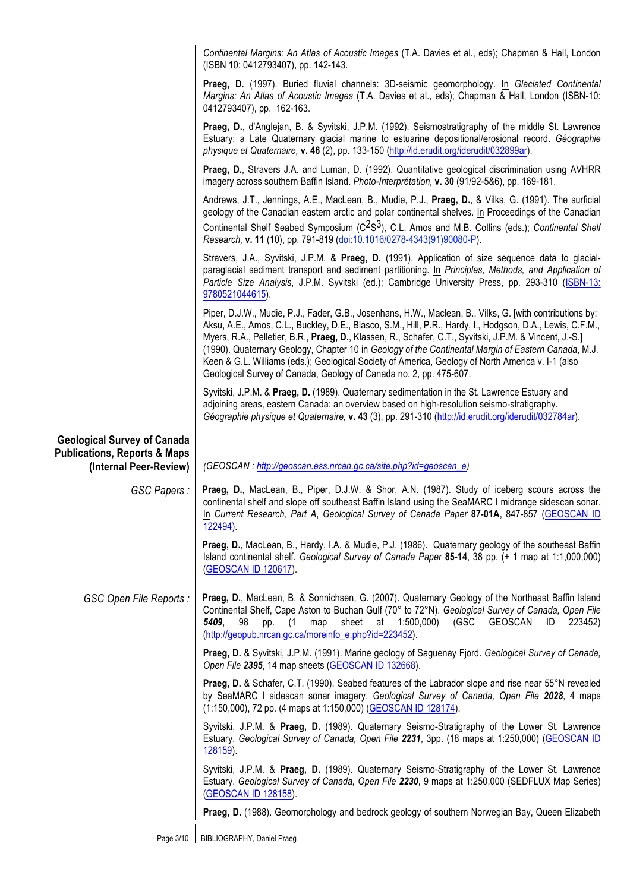|                                                                                                         | Continental Margins: An Atlas of Acoustic Images (T.A. Davies et al., eds); Chapman & Hall, London<br>(ISBN 10: 0412793407), pp. 142-143.                                                                                                                                                                                                                                                                                                                                                                                                                                                                          |
|---------------------------------------------------------------------------------------------------------|--------------------------------------------------------------------------------------------------------------------------------------------------------------------------------------------------------------------------------------------------------------------------------------------------------------------------------------------------------------------------------------------------------------------------------------------------------------------------------------------------------------------------------------------------------------------------------------------------------------------|
|                                                                                                         | Praeg, D. (1997). Buried fluvial channels: 3D-seismic geomorphology. In Glaciated Continental<br>Margins: An Atlas of Acoustic Images (T.A. Davies et al., eds); Chapman & Hall, London (ISBN-10:<br>0412793407), pp. 162-163.                                                                                                                                                                                                                                                                                                                                                                                     |
|                                                                                                         | Praeg, D., d'Anglejan, B. & Syvitski, J.P.M. (1992). Seismostratigraphy of the middle St. Lawrence<br>Estuary: a Late Quaternary glacial marine to estuarine depositional/erosional record. Géographie<br>physique et Quaternaire, v. 46 (2), pp. 133-150 (http://id.erudit.org/iderudit/032899ar).                                                                                                                                                                                                                                                                                                                |
|                                                                                                         | Praeg, D., Stravers J.A. and Luman, D. (1992). Quantitative geological discrimination using AVHRR<br>imagery across southern Baffin Island. Photo-Interprétation, v. 30 (91/92-5&6), pp. 169-181.                                                                                                                                                                                                                                                                                                                                                                                                                  |
|                                                                                                         | Andrews, J.T., Jennings, A.E., MacLean, B., Mudie, P.J., Praeg, D., & Vilks, G. (1991). The surficial<br>geology of the Canadian eastern arctic and polar continental shelves. In Proceedings of the Canadian                                                                                                                                                                                                                                                                                                                                                                                                      |
|                                                                                                         | Continental Shelf Seabed Symposium (C <sup>2</sup> S <sup>3</sup> ), C.L. Amos and M.B. Collins (eds.); Continental Shelf<br>Research, v. 11 (10), pp. 791-819 (doi:10.1016/0278-4343(91)90080-P).                                                                                                                                                                                                                                                                                                                                                                                                                 |
|                                                                                                         | Stravers, J.A., Syvitski, J.P.M. & Praeg, D. (1991). Application of size sequence data to glacial-<br>paraglacial sediment transport and sediment partitioning. In Principles, Methods, and Application of<br>Particle Size Analysis, J.P.M. Syvitski (ed.); Cambridge University Press, pp. 293-310 (ISBN-13:<br>9780521044615).                                                                                                                                                                                                                                                                                  |
|                                                                                                         | Piper, D.J.W., Mudie, P.J., Fader, G.B., Josenhans, H.W., Maclean, B., Vilks, G. [with contributions by:<br>Aksu, A.E., Amos, C.L., Buckley, D.E., Blasco, S.M., Hill, P.R., Hardy, I., Hodgson, D.A., Lewis, C.F.M.,<br>Myers, R.A., Pelletier, B.R., Praeg, D., Klassen, R., Schafer, C.T., Syvitski, J.P.M. & Vincent, J.-S.]<br>(1990). Quaternary Geology, Chapter 10 in Geology of the Continental Margin of Eastern Canada, M.J.<br>Keen & G.L. Williams (eds.); Geological Society of America, Geology of North America v. I-1 (also<br>Geological Survey of Canada, Geology of Canada no. 2, pp. 475-607. |
|                                                                                                         | Syvitski, J.P.M. & Praeg, D. (1989). Quaternary sedimentation in the St. Lawrence Estuary and<br>adjoining areas, eastern Canada: an overview based on high-resolution seismo-stratigraphy.<br>Géographie physique et Quaternaire, v. 43 (3), pp. 291-310 (http://id.erudit.org/iderudit/032784ar).                                                                                                                                                                                                                                                                                                                |
| <b>Geological Survey of Canada</b><br><b>Publications, Reports &amp; Maps</b><br>(Internal Peer-Review) | (GEOSCAN: http://geoscan.ess.nrcan.gc.ca/site.php?id=geoscan_e)                                                                                                                                                                                                                                                                                                                                                                                                                                                                                                                                                    |
| GSC Papers:                                                                                             | Praeg, D., MacLean, B., Piper, D.J.W. & Shor, A.N. (1987). Study of iceberg scours across the<br>continental shelf and slope off southeast Baffin Island using the SeaMARC I midrange sidescan sonar.<br>In Current Research, Part A, Geological Survey of Canada Paper 87-01A, 847-857 (GEOSCAN ID<br>122494).                                                                                                                                                                                                                                                                                                    |
|                                                                                                         | Praeg, D., MacLean, B., Hardy, I.A. & Mudie, P.J. (1986). Quaternary geology of the southeast Baffin<br>Island continental shelf. Geological Survey of Canada Paper 85-14, 38 pp. (+ 1 map at 1:1,000,000)<br>(GEOSCAN ID 120617).                                                                                                                                                                                                                                                                                                                                                                                 |
| GSC Open File Reports:                                                                                  | Praeg, D., MacLean, B. & Sonnichsen, G. (2007). Quaternary Geology of the Northeast Baffin Island<br>Continental Shelf, Cape Aston to Buchan Gulf (70° to 72°N). Geological Survey of Canada, Open File<br>sheet at 1:500,000) (GSC<br>5409,<br>98<br>map<br>GEOSCAN<br>ID<br>pp. (1<br>223452)<br>(http://geopub.nrcan.gc.ca/moreinfo_e.php?id=223452).                                                                                                                                                                                                                                                           |
|                                                                                                         | Praeg, D. & Syvitski, J.P.M. (1991). Marine geology of Saguenay Fjord. Geological Survey of Canada,<br>Open File 2395, 14 map sheets (GEOSCAN ID 132668).                                                                                                                                                                                                                                                                                                                                                                                                                                                          |
|                                                                                                         | <b>Praeg, D. &amp; Schafer, C.T. (1990). Seabed features of the Labrador slope and rise near 55°N revealed</b><br>by SeaMARC I sidescan sonar imagery. Geological Survey of Canada, Open File 2028, 4 maps<br>(1:150,000), 72 pp. (4 maps at 1:150,000) (GEOSCAN ID 128174).                                                                                                                                                                                                                                                                                                                                       |
|                                                                                                         | Syvitski, J.P.M. & Praeg, D. (1989). Quaternary Seismo-Stratigraphy of the Lower St. Lawrence<br>Estuary. Geological Survey of Canada, Open File 2231, 3pp. (18 maps at 1:250,000) (GEOSCAN ID                                                                                                                                                                                                                                                                                                                                                                                                                     |
|                                                                                                         | 128159).                                                                                                                                                                                                                                                                                                                                                                                                                                                                                                                                                                                                           |
|                                                                                                         | Syvitski, J.P.M. & Praeg, D. (1989). Quaternary Seismo-Stratigraphy of the Lower St. Lawrence<br>Estuary. Geological Survey of Canada, Open File 2230, 9 maps at 1:250,000 (SEDFLUX Map Series)<br>(GEOSCAN ID 128158).                                                                                                                                                                                                                                                                                                                                                                                            |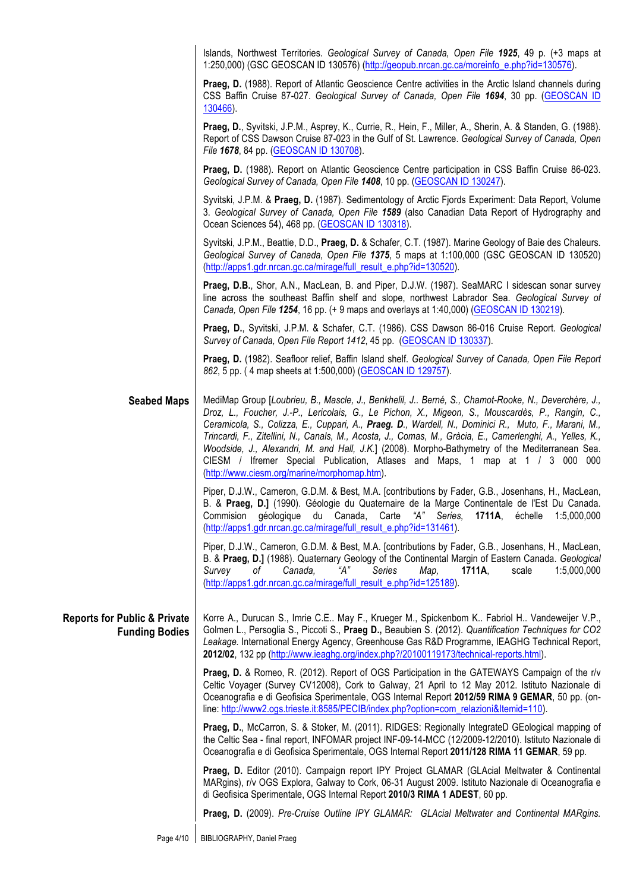|                                                                  | Islands, Northwest Territories. Geological Survey of Canada, Open File 1925, 49 p. (+3 maps at<br>1:250,000) (GSC GEOSCAN ID 130576) (http://geopub.nrcan.gc.ca/moreinfo_e.php?id=130576).                                                                                                                                                                                                                                                                                                                                                                                                                                                                      |
|------------------------------------------------------------------|-----------------------------------------------------------------------------------------------------------------------------------------------------------------------------------------------------------------------------------------------------------------------------------------------------------------------------------------------------------------------------------------------------------------------------------------------------------------------------------------------------------------------------------------------------------------------------------------------------------------------------------------------------------------|
|                                                                  | Praeg, D. (1988). Report of Atlantic Geoscience Centre activities in the Arctic Island channels during<br>CSS Baffin Cruise 87-027. Geological Survey of Canada, Open File 1694, 30 pp. (GEOSCAN ID<br>130466).                                                                                                                                                                                                                                                                                                                                                                                                                                                 |
|                                                                  | Praeg, D., Syvitski, J.P.M., Asprey, K., Currie, R., Hein, F., Miller, A., Sherin, A. & Standen, G. (1988).<br>Report of CSS Dawson Cruise 87-023 in the Gulf of St. Lawrence. Geological Survey of Canada, Open<br>File 1678, 84 pp. (GEOSCAN ID 130708).                                                                                                                                                                                                                                                                                                                                                                                                      |
|                                                                  | Praeg, D. (1988). Report on Atlantic Geoscience Centre participation in CSS Baffin Cruise 86-023.<br>Geological Survey of Canada, Open File 1408, 10 pp. (GEOSCAN ID 130247).                                                                                                                                                                                                                                                                                                                                                                                                                                                                                   |
|                                                                  | Syvitski, J.P.M. & Praeg, D. (1987). Sedimentology of Arctic Fjords Experiment: Data Report, Volume<br>3. Geological Survey of Canada, Open File 1589 (also Canadian Data Report of Hydrography and<br>Ocean Sciences 54), 468 pp. (GEOSCAN ID 130318).                                                                                                                                                                                                                                                                                                                                                                                                         |
|                                                                  | Syvitski, J.P.M., Beattie, D.D., Praeg, D. & Schafer, C.T. (1987). Marine Geology of Baie des Chaleurs.<br>Geological Survey of Canada, Open File 1375, 5 maps at 1:100,000 (GSC GEOSCAN ID 130520)<br>(http://apps1.gdr.nrcan.gc.ca/mirage/full_result_e.php?id=130520).                                                                                                                                                                                                                                                                                                                                                                                       |
|                                                                  | Praeg, D.B., Shor, A.N., MacLean, B. and Piper, D.J.W. (1987). SeaMARC I sidescan sonar survey<br>line across the southeast Baffin shelf and slope, northwest Labrador Sea. Geological Survey of<br>Canada, Open File 1254, 16 pp. (+ 9 maps and overlays at 1:40,000) (GEOSCAN ID 130219).                                                                                                                                                                                                                                                                                                                                                                     |
|                                                                  | Praeg, D., Syvitski, J.P.M. & Schafer, C.T. (1986). CSS Dawson 86-016 Cruise Report. Geological<br>Survey of Canada, Open File Report 1412, 45 pp. (GEOSCAN ID 130337).                                                                                                                                                                                                                                                                                                                                                                                                                                                                                         |
|                                                                  | Praeg, D. (1982). Seafloor relief, Baffin Island shelf. Geological Survey of Canada, Open File Report<br>862, 5 pp. (4 map sheets at 1:500,000) (GEOSCAN ID 129757).                                                                                                                                                                                                                                                                                                                                                                                                                                                                                            |
| <b>Seabed Maps</b>                                               | MediMap Group [Loubrieu, B., Mascle, J., Benkhelil, J Berné, S., Chamot-Rooke, N., Deverchère, J.,<br>Droz, L., Foucher, J.-P., Lericolais, G., Le Pichon, X., Migeon, S., Mouscardès, P., Rangin, C.,<br>Ceramicola, S., Colizza, E., Cuppari, A., Praeg. D., Wardell, N., Dominici R., Muto, F., Marani, M.,<br>Trincardi, F., Zitellini, N., Canals, M., Acosta, J., Comas, M., Gràcia, E., Camerlenghi, A., Yelles, K.,<br>Woodside, J., Alexandri, M. and Hall, J.K.] (2008). Morpho-Bathymetry of the Mediterranean Sea.<br>CIESM / Ifremer Special Publication, Atlases and Maps, 1 map at 1 / 3 000 000<br>(http://www.ciesm.org/marine/morphomap.htm). |
|                                                                  | Piper, D.J.W., Cameron, G.D.M. & Best, M.A. [contributions by Fader, G.B., Josenhans, H., MacLean,<br>B. & Praeg, D.] (1990). Géologie du Quaternaire de la Marge Continentale de l'Est Du Canada.<br>Commision<br>géologique du Canada,<br>Carte "A" Series, 1711A,<br>1:5,000,000<br>échelle<br>(http://apps1.gdr.nrcan.gc.ca/mirage/full_result_e.php?id=131461).                                                                                                                                                                                                                                                                                            |
|                                                                  | Piper, D.J.W., Cameron, G.D.M. & Best, M.A. [contributions by Fader, G.B., Josenhans, H., MacLean,<br>B. & Praeg, D.] (1988). Quaternary Geology of the Continental Margin of Eastern Canada. Geological<br>Survey<br>1:5,000,000<br>οf<br>Canada,<br>"A"<br>Series<br>Map,<br>1711A,<br>scale<br>(http://apps1.gdr.nrcan.gc.ca/mirage/full_result_e.php?id=125189).                                                                                                                                                                                                                                                                                            |
| <b>Reports for Public &amp; Private</b><br><b>Funding Bodies</b> | Korre A., Durucan S., Imrie C.E May F., Krueger M., Spickenbom K Fabriol H Vandeweijer V.P.,<br>Golmen L., Persoglia S., Piccoti S., Praeg D., Beaubien S. (2012). Quantification Techniques for CO2<br>Leakage. International Energy Agency, Greenhouse Gas R&D Programme, IEAGHG Technical Report,<br>2012/02, 132 pp (http://www.ieaghg.org/index.php?/20100119173/technical-reports.html).                                                                                                                                                                                                                                                                  |
|                                                                  | Praeg, D. & Romeo, R. (2012). Report of OGS Participation in the GATEWAYS Campaign of the r/v<br>Celtic Voyager (Survey CV12008), Cork to Galway, 21 April to 12 May 2012. Istituto Nazionale di<br>Oceanografia e di Geofisica Sperimentale, OGS Internal Report 2012/59 RIMA 9 GEMAR, 50 pp. (on-<br>line: http://www2.ogs.trieste.it:8585/PECIB/index.php?option=com_relazioni&Itemid=110).                                                                                                                                                                                                                                                                  |
|                                                                  | Praeg, D., McCarron, S. & Stoker, M. (2011). RIDGES: Regionally IntegrateD GEological mapping of<br>the Celtic Sea - final report, INFOMAR project INF-09-14-MCC (12/2009-12/2010). Istituto Nazionale di<br>Oceanografia e di Geofisica Sperimentale, OGS Internal Report 2011/128 RIMA 11 GEMAR, 59 pp.                                                                                                                                                                                                                                                                                                                                                       |
|                                                                  | Praeg, D. Editor (2010). Campaign report IPY Project GLAMAR (GLAcial Meltwater & Continental<br>MARgins), r/v OGS Explora, Galway to Cork, 06-31 August 2009. Istituto Nazionale di Oceanografia e<br>di Geofisica Sperimentale, OGS Internal Report 2010/3 RIMA 1 ADEST, 60 pp.                                                                                                                                                                                                                                                                                                                                                                                |
|                                                                  | Praeg, D. (2009). Pre-Cruise Outline IPY GLAMAR: GLAcial Meltwater and Continental MARgins.                                                                                                                                                                                                                                                                                                                                                                                                                                                                                                                                                                     |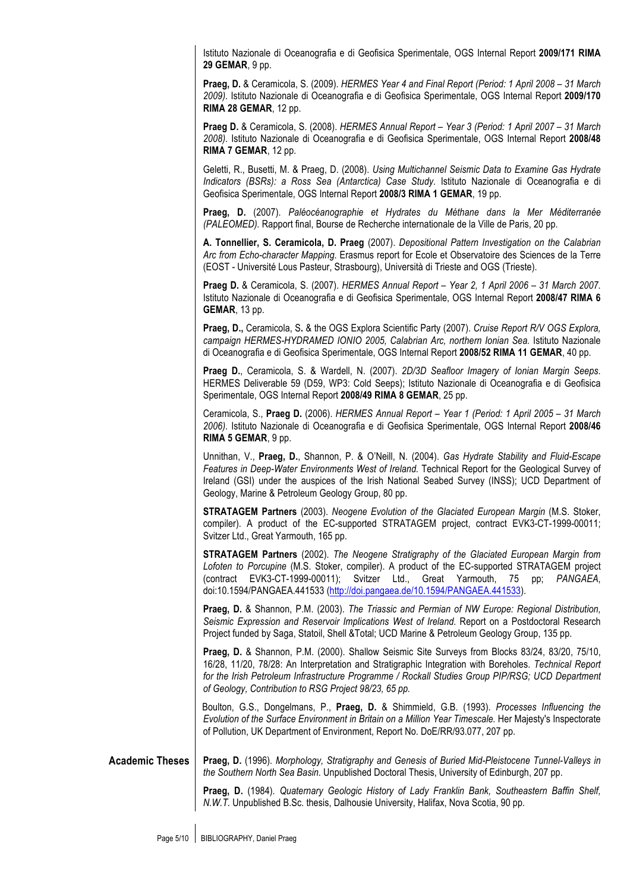Istituto Nazionale di Oceanografia e di Geofisica Sperimentale, OGS Internal Report **2009/171 RIMA 29 GEMAR**, 9 pp.

**Praeg, D.** & Ceramicola, S. (2009). *HERMES Year 4 and Final Report (Period: 1 April 2008 – 31 March 2009)*. Istituto Nazionale di Oceanografia e di Geofisica Sperimentale, OGS Internal Report **2009/170 RIMA 28 GEMAR**, 12 pp.

**Praeg D.** & Ceramicola, S. (2008). *HERMES Annual Report – Year 3 (Period: 1 April 2007 – 31 March 2008)*. Istituto Nazionale di Oceanografia e di Geofisica Sperimentale, OGS Internal Report **2008/48 RIMA 7 GEMAR**, 12 pp.

Geletti, R., Busetti, M. & Praeg, D. (2008). *Using Multichannel Seismic Data to Examine Gas Hydrate Indicators (BSRs): a Ross Sea (Antarctica) Case Study.* Istituto Nazionale di Oceanografia e di Geofisica Sperimentale, OGS Internal Report **2008/3 RIMA 1 GEMAR**, 19 pp.

**Praeg, D.** (2007). *Paléocéanographie et Hydrates du Méthane dans la Mer Méditerranée (PALEOMED).* Rapport final, Bourse de Recherche internationale de la Ville de Paris, 20 pp.

**A. Tonnellier, S. Ceramicola, D. Praeg** (2007). *Depositional Pattern Investigation on the Calabrian Arc from Echo-character Mapping*. Erasmus report for Ecole et Observatoire des Sciences de la Terre (EOST - Université Lous Pasteur, Strasbourg), Università di Trieste and OGS (Trieste).

**Praeg D.** & Ceramicola, S. (2007). *HERMES Annual Report – Year 2, 1 April 2006 – 31 March 2007*. Istituto Nazionale di Oceanografia e di Geofisica Sperimentale, OGS Internal Report **2008/47 RIMA 6 GEMAR**, 13 pp.

**Praeg, D.,** Ceramicola, S**.** & the OGS Explora Scientific Party (2007). *Cruise Report R/V OGS Explora, campaign HERMES-HYDRAMED IONIO 2005, Calabrian Arc, northern Ionian Sea.* Istituto Nazionale di Oceanografia e di Geofisica Sperimentale, OGS Internal Report **2008/52 RIMA 11 GEMAR**, 40 pp.

**Praeg D.**, Ceramicola, S. & Wardell, N. (2007). *2D/3D Seafloor Imagery of Ionian Margin Seeps*. HERMES Deliverable 59 (D59, WP3: Cold Seeps); Istituto Nazionale di Oceanografia e di Geofisica Sperimentale, OGS Internal Report **2008/49 RIMA 8 GEMAR**, 25 pp.

Ceramicola, S., **Praeg D.** (2006). *HERMES Annual Report – Year 1 (Period: 1 April 2005 – 31 March 2006)*. Istituto Nazionale di Oceanografia e di Geofisica Sperimentale, OGS Internal Report **2008/46 RIMA 5 GEMAR**, 9 pp.

Unnithan, V., **Praeg, D.**, Shannon, P. & O'Neill, N. (2004). *Gas Hydrate Stability and Fluid-Escape Features in Deep-Water Environments West of Ireland.* Technical Report for the Geological Survey of Ireland (GSI) under the auspices of the Irish National Seabed Survey (INSS); UCD Department of Geology, Marine & Petroleum Geology Group, 80 pp.

**STRATAGEM Partners** (2003). *Neogene Evolution of the Glaciated European Margin* (M.S. Stoker, compiler). A product of the EC-supported STRATAGEM project, contract EVK3-CT-1999-00011; Svitzer Ltd., Great Yarmouth, 165 pp.

**STRATAGEM Partners** (2002). *The Neogene Stratigraphy of the Glaciated European Margin from Lofoten to Porcupine* (M.S. Stoker, compiler). A product of the EC-supported STRATAGEM project (contract EVK3-CT-1999-00011); Svitzer Ltd., Great Yarmouth, 75 pp; *PANGAEA*, doi:10.1594/PANGAEA.441533 (http://doi.pangaea.de/10.1594/PANGAEA.441533).

**Praeg, D.** & Shannon, P.M. (2003). *The Triassic and Permian of NW Europe: Regional Distribution, Seismic Expression and Reservoir Implications West of Ireland.* Report on a Postdoctoral Research Project funded by Saga, Statoil, Shell &Total; UCD Marine & Petroleum Geology Group, 135 pp.

**Praeg, D.** & Shannon, P.M. (2000). Shallow Seismic Site Surveys from Blocks 83/24, 83/20, 75/10, 16/28, 11/20, 78/28: An Interpretation and Stratigraphic Integration with Boreholes. *Technical Report*  for the Irish Petroleum Infrastructure Programme / Rockall Studies Group PIP/RSG; UCD Department *of Geology, Contribution to RSG Project 98/23, 65 pp.*

Boulton, G.S., Dongelmans, P., **Praeg, D.** & Shimmield, G.B. (1993). *Processes Influencing the Evolution of the Surface Environment in Britain on a Million Year Timescale.* Her Majesty's Inspectorate of Pollution, UK Department of Environment, Report No. DoE/RR/93.077, 207 pp.

**Academic Theses** Praeg, D. (1996). *Morphology, Stratigraphy and Genesis of Buried Mid-Pleistocene Tunnel-Valleys in the Southern North Sea Basin*. Unpublished Doctoral Thesis, University of Edinburgh, 207 pp.

> **Praeg, D.** (1984). *Quaternary Geologic History of Lady Franklin Bank, Southeastern Baffin Shelf, N.W.T.* Unpublished B.Sc. thesis, Dalhousie University, Halifax, Nova Scotia, 90 pp.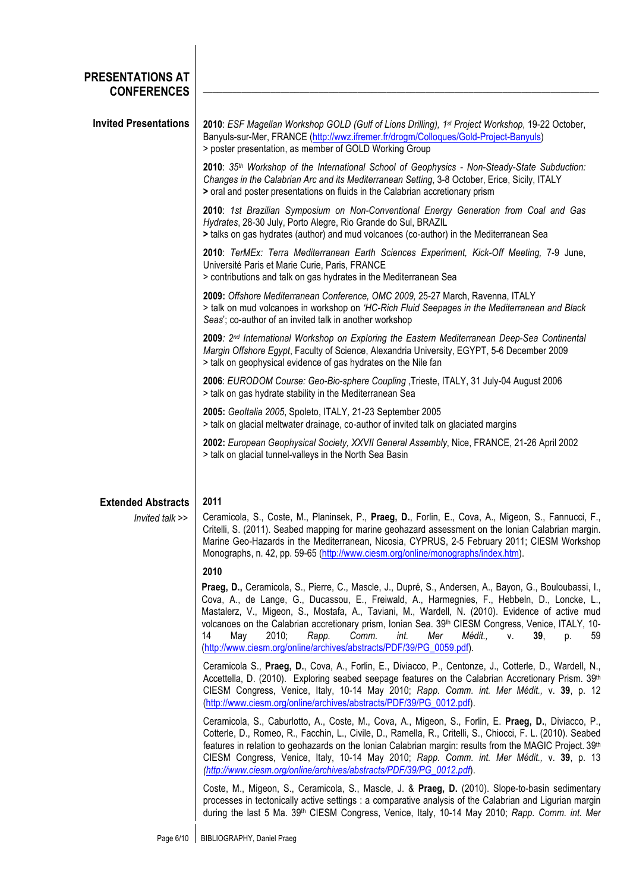| PRESENTATIONS AT<br><b>CONFERENCES</b>       |                                                                                                                                                                                                                                                                                                                                                                                                                                                                                                                                                                                   |
|----------------------------------------------|-----------------------------------------------------------------------------------------------------------------------------------------------------------------------------------------------------------------------------------------------------------------------------------------------------------------------------------------------------------------------------------------------------------------------------------------------------------------------------------------------------------------------------------------------------------------------------------|
| <b>Invited Presentations</b>                 | 2010: ESF Magellan Workshop GOLD (Gulf of Lions Drilling), 1st Project Workshop, 19-22 October,<br>Banyuls-sur-Mer, FRANCE (http://wwz.ifremer.fr/drogm/Colloques/Gold-Project-Banyuls)<br>> poster presentation, as member of GOLD Working Group                                                                                                                                                                                                                                                                                                                                 |
|                                              | 2010: 35th Workshop of the International School of Geophysics - Non-Steady-State Subduction:<br>Changes in the Calabrian Arc and its Mediterranean Setting, 3-8 October, Erice, Sicily, ITALY<br>> oral and poster presentations on fluids in the Calabrian accretionary prism                                                                                                                                                                                                                                                                                                    |
|                                              | 2010: 1st Brazilian Symposium on Non-Conventional Energy Generation from Coal and Gas<br>Hydrates, 28-30 July, Porto Alegre, Rio Grande do Sul, BRAZIL<br>> talks on gas hydrates (author) and mud volcanoes (co-author) in the Mediterranean Sea                                                                                                                                                                                                                                                                                                                                 |
|                                              | 2010: TerMEx: Terra Mediterranean Earth Sciences Experiment, Kick-Off Meeting, 7-9 June,<br>Université Paris et Marie Curie, Paris, FRANCE<br>> contributions and talk on gas hydrates in the Mediterranean Sea                                                                                                                                                                                                                                                                                                                                                                   |
|                                              | 2009: Offshore Mediterranean Conference, OMC 2009, 25-27 March, Ravenna, ITALY<br>> talk on mud volcanoes in workshop on 'HC-Rich Fluid Seepages in the Mediterranean and Black<br>Seas'; co-author of an invited talk in another workshop                                                                                                                                                                                                                                                                                                                                        |
|                                              | 2009: 2 <sup>nd</sup> International Workshop on Exploring the Eastern Mediterranean Deep-Sea Continental<br>Margin Offshore Egypt, Faculty of Science, Alexandria University, EGYPT, 5-6 December 2009<br>> talk on geophysical evidence of gas hydrates on the Nile fan                                                                                                                                                                                                                                                                                                          |
|                                              | 2006: EURODOM Course: Geo-Bio-sphere Coupling , Trieste, ITALY, 31 July-04 August 2006<br>> talk on gas hydrate stability in the Mediterranean Sea                                                                                                                                                                                                                                                                                                                                                                                                                                |
|                                              | 2005: Geoltalia 2005, Spoleto, ITALY, 21-23 September 2005<br>> talk on glacial meltwater drainage, co-author of invited talk on glaciated margins                                                                                                                                                                                                                                                                                                                                                                                                                                |
|                                              | 2002: European Geophysical Society, XXVII General Assembly, Nice, FRANCE, 21-26 April 2002<br>> talk on glacial tunnel-valleys in the North Sea Basin                                                                                                                                                                                                                                                                                                                                                                                                                             |
| <b>Extended Abstracts</b><br>Invited talk >> | 2011<br>Ceramicola, S., Coste, M., Planinsek, P., Praeg, D., Forlin, E., Cova, A., Migeon, S., Fannucci, F.,<br>Critelli, S. (2011). Seabed mapping for marine geohazard assessment on the Ionian Calabrian margin.<br>Marine Geo-Hazards in the Mediterranean, Nicosia, CYPRUS, 2-5 February 2011; CIESM Workshop<br>Monographs, n. 42, pp. 59-65 (http://www.ciesm.org/online/monographs/index.htm).                                                                                                                                                                            |
|                                              | 2010                                                                                                                                                                                                                                                                                                                                                                                                                                                                                                                                                                              |
|                                              | Praeg, D., Ceramicola, S., Pierre, C., Mascle, J., Dupré, S., Andersen, A., Bayon, G., Bouloubassi, I.,<br>Cova, A., de Lange, G., Ducassou, E., Freiwald, A., Harmegnies, F., Hebbeln, D., Loncke, L.,<br>Mastalerz, V., Migeon, S., Mostafa, A., Taviani, M., Wardell, N. (2010). Evidence of active mud<br>volcanoes on the Calabrian accretionary prism, Ionian Sea. 39th CIESM Congress, Venice, ITALY, 10-<br>14<br>2010;<br>Comm.<br>May<br>Rapp.<br>int.<br>Mer<br>Médit<br>V.<br>39.<br>59<br>D.<br>(http://www.ciesm.org/online/archives/abstracts/PDF/39/PG_0059.pdf). |
|                                              | Ceramicola S., Praeg, D., Cova, A., Forlin, E., Diviacco, P., Centonze, J., Cotterle, D., Wardell, N.,<br>Accettella, D. (2010). Exploring seabed seepage features on the Calabrian Accretionary Prism. 39th<br>CIESM Congress, Venice, Italy, 10-14 May 2010; Rapp. Comm. int. Mer Médit., v. 39, p. 12<br>(http://www.ciesm.org/online/archives/abstracts/PDF/39/PG_0012.pdf).                                                                                                                                                                                                  |
|                                              | Ceramicola, S., Caburlotto, A., Coste, M., Cova, A., Migeon, S., Forlin, E. Praeg, D., Diviacco, P.,<br>Cotterle, D., Romeo, R., Facchin, L., Civile, D., Ramella, R., Critelli, S., Chiocci, F. L. (2010). Seabed<br>features in relation to geohazards on the Ionian Calabrian margin: results from the MAGIC Project. 39th<br>CIESM Congress, Venice, Italy, 10-14 May 2010; Rapp. Comm. int. Mer Médit., v. 39, p. 13<br>(http://www.ciesm.org/online/archives/abstracts/PDF/39/PG_0012.pdf).                                                                                 |
|                                              | Coste, M., Migeon, S., Ceramicola, S., Mascle, J. & Praeg, D. (2010). Slope-to-basin sedimentary<br>processes in tectonically active settings : a comparative analysis of the Calabrian and Ligurian margin<br>during the last 5 Ma. 39 <sup>th</sup> CIESM Congress, Venice, Italy, 10-14 May 2010; Rapp. Comm. int. Mer                                                                                                                                                                                                                                                         |
|                                              |                                                                                                                                                                                                                                                                                                                                                                                                                                                                                                                                                                                   |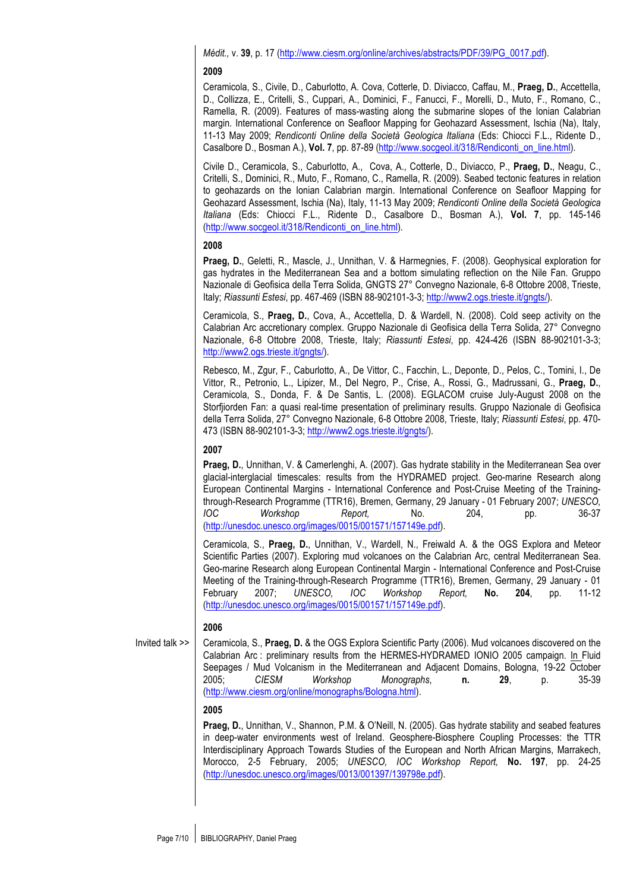*Médit.,* v. **39**, p. 17 (http://www.ciesm.org/online/archives/abstracts/PDF/39/PG\_0017.pdf).

#### **2009**

Ceramicola, S., Civile, D., Caburlotto, A. Cova, Cotterle, D. Diviacco, Caffau, M., **Praeg, D.**, Accettella, D., Collizza, E., Critelli, S., Cuppari, A., Dominici, F., Fanucci, F., Morelli, D., Muto, F., Romano, C., Ramella, R. (2009). Features of mass-wasting along the submarine slopes of the Ionian Calabrian margin. International Conference on Seafloor Mapping for Geohazard Assessment, Ischia (Na), Italy, 11-13 May 2009; *Rendiconti Online della Società Geologica Italiana* (Eds: Chiocci F.L., Ridente D., Casalbore D., Bosman A.), **Vol. 7**, pp. 87-89 (http://www.socgeol.it/318/Rendiconti\_on\_line.html).

Civile D., Ceramicola, S., Caburlotto, A., Cova, A., Cotterle, D., Diviacco, P., **Praeg, D.**, Neagu, C., Critelli, S., Dominici, R., Muto, F., Romano, C., Ramella, R. (2009). Seabed tectonic features in relation to geohazards on the Ionian Calabrian margin. International Conference on Seafloor Mapping for Geohazard Assessment, Ischia (Na), Italy, 11-13 May 2009; *Rendiconti Online della Società Geologica Italiana* (Eds: Chiocci F.L., Ridente D., Casalbore D., Bosman A.), **Vol. 7**, pp. 145-146 (http://www.socgeol.it/318/Rendiconti\_on\_line.html).

# **2008**

**Praeg, D.**, Geletti, R., Mascle, J., Unnithan, V. & Harmegnies, F. (2008). Geophysical exploration for gas hydrates in the Mediterranean Sea and a bottom simulating reflection on the Nile Fan. Gruppo Nazionale di Geofisica della Terra Solida, GNGTS 27° Convegno Nazionale, 6-8 Ottobre 2008, Trieste, Italy; *Riassunti Estesi*, pp. 467-469 (ISBN 88-902101-3-3; http://www2.ogs.trieste.it/gngts/).

Ceramicola, S., **Praeg, D.**, Cova, A., Accettella, D. & Wardell, N. (2008). Cold seep activity on the Calabrian Arc accretionary complex. Gruppo Nazionale di Geofisica della Terra Solida, 27° Convegno Nazionale, 6-8 Ottobre 2008, Trieste, Italy; *Riassunti Estesi*, pp. 424-426 (ISBN 88-902101-3-3; http://www2.ogs.trieste.it/gngts/).

Rebesco, M., Zgur, F., Caburlotto, A., De Vittor, C., Facchin, L., Deponte, D., Pelos, C., Tomini, I., De Vittor, R., Petronio, L., Lipizer, M., Del Negro, P., Crise, A., Rossi, G., Madrussani, G., **Praeg, D.**, Ceramicola, S., Donda, F. & De Santis, L. (2008). EGLACOM cruise July-August 2008 on the Storfjiorden Fan: a quasi real-time presentation of preliminary results. Gruppo Nazionale di Geofisica della Terra Solida, 27° Convegno Nazionale, 6-8 Ottobre 2008, Trieste, Italy; *Riassunti Estesi*, pp. 470- 473 (ISBN 88-902101-3-3; http://www2.ogs.trieste.it/gngts/).

## **2007**

**Praeg, D.**, Unnithan, V. & Camerlenghi, A. (2007). Gas hydrate stability in the Mediterranean Sea over glacial-interglacial timescales: results from the HYDRAMED project. Geo-marine Research along European Continental Margins - International Conference and Post-Cruise Meeting of the Trainingthrough-Research Programme (TTR16), Bremen, Germany, 29 January - 01 February 2007; *UNESCO, IOC Workshop Report,* No. 204, pp. 36-37 (http://unesdoc.unesco.org/images/0015/001571/157149e.pdf).

Ceramicola, S., **Praeg, D.**, Unnithan, V., Wardell, N., Freiwald A. & the OGS Explora and Meteor Scientific Parties (2007). Exploring mud volcanoes on the Calabrian Arc, central Mediterranean Sea. Geo-marine Research along European Continental Margin - International Conference and Post-Cruise Meeting of the Training-through-Research Programme (TTR16), Bremen, Germany, 29 January - 01 February 2007; *UNESCO, IOC Workshop Report,* **No. 204**, pp. 11-12 (http://unesdoc.unesco.org/images/0015/001571/157149e.pdf).

#### **2006**

Invited talk >>

Ceramicola, S., **Praeg, D.** & the OGS Explora Scientific Party (2006). Mud volcanoes discovered on the Calabrian Arc : preliminary results from the HERMES-HYDRAMED IONIO 2005 campaign. In Fluid Seepages / Mud Volcanism in the Mediterranean and Adjacent Domains, Bologna, 19-22 October 2005; *CIESM Workshop Monographs*, **n. 29**, p. 35-39 (http://www.ciesm.org/online/monographs/Bologna.html).

## **2005**

**Praeg, D.**, Unnithan, V., Shannon, P.M. & O'Neill, N. (2005). Gas hydrate stability and seabed features in deep-water environments west of Ireland. Geosphere-Biosphere Coupling Processes: the TTR Interdisciplinary Approach Towards Studies of the European and North African Margins, Marrakech, Morocco, 2-5 February, 2005; *UNESCO, IOC Workshop Report,* **No. 197**, pp. 24-25 (http://unesdoc.unesco.org/images/0013/001397/139798e.pdf).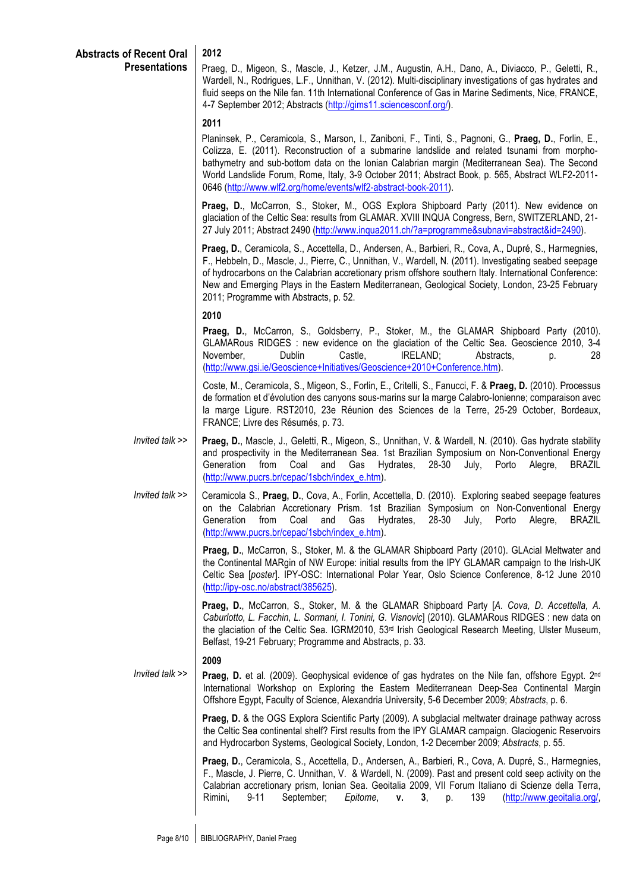## **2012**

Praeg, D., Migeon, S., Mascle, J., Ketzer, J.M., Augustin, A.H., Dano, A., Diviacco, P., Geletti, R., Wardell, N., Rodrigues, L.F., Unnithan, V. (2012). Multi-disciplinary investigations of gas hydrates and fluid seeps on the Nile fan. 11th International Conference of Gas in Marine Sediments, Nice, FRANCE, 4-7 September 2012; Abstracts (http://gims11.sciencesconf.org/).

#### **2011**

Planinsek, P., Ceramicola, S., Marson, I., Zaniboni, F., Tinti, S., Pagnoni, G., **Praeg, D.**, Forlin, E., Colizza, E. (2011). Reconstruction of a submarine landslide and related tsunami from morphobathymetry and sub-bottom data on the Ionian Calabrian margin (Mediterranean Sea). The Second World Landslide Forum, Rome, Italy, 3-9 October 2011; Abstract Book, p. 565, Abstract WLF2-2011- 0646 (http://www.wlf2.org/home/events/wlf2-abstract-book-2011).

**Praeg, D.**, McCarron, S., Stoker, M., OGS Explora Shipboard Party (2011). New evidence on glaciation of the Celtic Sea: results from GLAMAR. XVIII INQUA Congress, Bern, SWITZERLAND, 21- 27 July 2011; Abstract 2490 (http://www.inqua2011.ch/?a=programme&subnavi=abstract&id=2490).

**Praeg, D.**, Ceramicola, S., Accettella, D., Andersen, A., Barbieri, R., Cova, A., Dupré, S., Harmegnies, F., Hebbeln, D., Mascle, J., Pierre, C., Unnithan, V., Wardell, N. (2011). Investigating seabed seepage of hydrocarbons on the Calabrian accretionary prism offshore southern Italy. International Conference: New and Emerging Plays in the Eastern Mediterranean, Geological Society, London, 23-25 February 2011; Programme with Abstracts, p. 52.

#### **2010**

**Praeg, D.**, McCarron, S., Goldsberry, P., Stoker, M., the GLAMAR Shipboard Party (2010). GLAMARous RIDGES : new evidence on the glaciation of the Celtic Sea. Geoscience 2010, 3-4 November, Dublin Castle, IRELAND; Abstracts, p. 28 (http://www.gsi.ie/Geoscience+Initiatives/Geoscience+2010+Conference.htm).

Coste, M., Ceramicola, S., Migeon, S., Forlin, E., Critelli, S., Fanucci, F. & **Praeg, D.** (2010). Processus de formation et d'évolution des canyons sous-marins sur la marge Calabro-Ionienne; comparaison avec la marge Ligure. RST2010, 23e Réunion des Sciences de la Terre, 25-29 October, Bordeaux, FRANCE; Livre des Résumés, p. 73.

- *Invited talk >>* **Praeg, D.**, Mascle, J., Geletti, R., Migeon, S., Unnithan, V. & Wardell, N. (2010). Gas hydrate stability and prospectivity in the Mediterranean Sea. 1st Brazilian Symposium on Non-Conventional Energy Generation from Coal and Gas Hydrates, 28-30 July, Porto Alegre, BRAZIL (http://www.pucrs.br/cepac/1sbch/index\_e.htm).
- *Invited talk >>* Ceramicola S., **Praeg, D.**, Cova, A., Forlin, Accettella, D. (2010). Exploring seabed seepage features on the Calabrian Accretionary Prism. 1st Brazilian Symposium on Non-Conventional Energy Generation from Coal and Gas Hydrates, 28-30 July, Porto Alegre, BRAZIL (http://www.pucrs.br/cepac/1sbch/index\_e.htm).

**Praeg, D.**, McCarron, S., Stoker, M. & the GLAMAR Shipboard Party (2010). GLAcial Meltwater and the Continental MARgin of NW Europe: initial results from the IPY GLAMAR campaign to the Irish-UK Celtic Sea [*poster*]. IPY-OSC: International Polar Year, Oslo Science Conference, 8-12 June 2010 (http://ipy-osc.no/abstract/385625).

**Praeg, D.**, McCarron, S., Stoker, M. & the GLAMAR Shipboard Party [*A. Cova, D. Accettella, A. Caburlotto, L. Facchin, L. Sormani, I. Tonini, G. Visnovic*] (2010). GLAMARous RIDGES : new data on the glaciation of the Celtic Sea. IGRM2010, 53<sup>rd</sup> Irish Geological Research Meeting, Ulster Museum, Belfast, 19-21 February; Programme and Abstracts, p. 33.

#### **2009**

*Invited talk >>* **Praeg, D.** et al. (2009). Geophysical evidence of gas hydrates on the Nile fan, offshore Egypt. 2<sup>nd</sup> International Workshop on Exploring the Eastern Mediterranean Deep-Sea Continental Margin Offshore Egypt, Faculty of Science, Alexandria University, 5-6 December 2009; *Abstracts*, p. 6.

> **Praeg, D.** & the OGS Explora Scientific Party (2009). A subglacial meltwater drainage pathway across the Celtic Sea continental shelf? First results from the IPY GLAMAR campaign. Glaciogenic Reservoirs and Hydrocarbon Systems, Geological Society, London, 1-2 December 2009; *Abstracts*, p. 55.

> **Praeg, D.**, Ceramicola, S., Accettella, D., Andersen, A., Barbieri, R., Cova, A. Dupré, S., Harmegnies, F., Mascle, J. Pierre, C. Unnithan, V. & Wardell, N. (2009). Past and present cold seep activity on the Calabrian accretionary prism, Ionian Sea. Geoitalia 2009, VII Forum Italiano di Scienze della Terra, Rimini, 9-11 September; *Epitome*, **v. 3**, p. 139 (http://www.geoitalia.org/,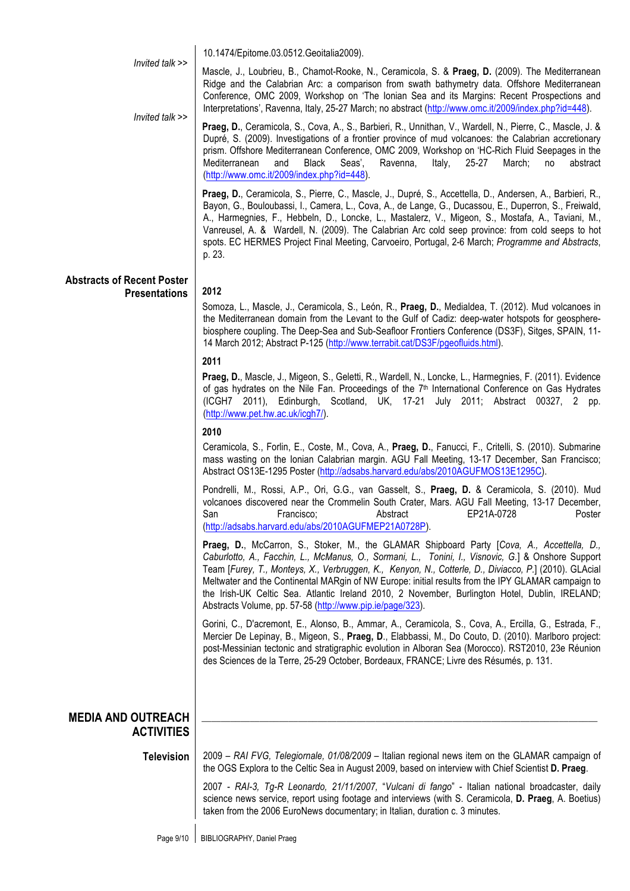|                                                | 10.1474/Epitome.03.0512.Geoitalia2009).                                                                                                                                                                                                                                                                                                                                                                                                                                                                                                                                        |
|------------------------------------------------|--------------------------------------------------------------------------------------------------------------------------------------------------------------------------------------------------------------------------------------------------------------------------------------------------------------------------------------------------------------------------------------------------------------------------------------------------------------------------------------------------------------------------------------------------------------------------------|
| Invited talk >><br>Invited talk >>             | Mascle, J., Loubrieu, B., Chamot-Rooke, N., Ceramicola, S. & Praeg, D. (2009). The Mediterranean<br>Ridge and the Calabrian Arc: a comparison from swath bathymetry data. Offshore Mediterranean<br>Conference, OMC 2009, Workshop on 'The Ionian Sea and its Margins: Recent Prospections and<br>Interpretations', Ravenna, Italy, 25-27 March; no abstract (http://www.omc.it/2009/index.php?id=448).                                                                                                                                                                        |
|                                                | Praeg, D., Ceramicola, S., Cova, A., S., Barbieri, R., Unnithan, V., Wardell, N., Pierre, C., Mascle, J. &<br>Dupré, S. (2009). Investigations of a frontier province of mud volcanoes: the Calabrian accretionary<br>prism. Offshore Mediterranean Conference, OMC 2009, Workshop on 'HC-Rich Fluid Seepages in the<br>Mediterranean<br>and<br>Black<br>Seas',<br>Ravenna,<br>Italy,<br>25-27<br>March;<br>no<br>abstract<br>(http://www.omc.it/2009/index.php?id=448).                                                                                                       |
|                                                | Praeg, D., Ceramicola, S., Pierre, C., Mascle, J., Dupré, S., Accettella, D., Andersen, A., Barbieri, R.,<br>Bayon, G., Bouloubassi, I., Camera, L., Cova, A., de Lange, G., Ducassou, E., Duperron, S., Freiwald,<br>A., Harmegnies, F., Hebbeln, D., Loncke, L., Mastalerz, V., Migeon, S., Mostafa, A., Taviani, M.,<br>Vanreusel, A. & Wardell, N. (2009). The Calabrian Arc cold seep province: from cold seeps to hot<br>spots. EC HERMES Project Final Meeting, Carvoeiro, Portugal, 2-6 March; Programme and Abstracts,<br>p. 23.                                      |
| <b>Abstracts of Recent Poster</b>              |                                                                                                                                                                                                                                                                                                                                                                                                                                                                                                                                                                                |
| <b>Presentations</b>                           | 2012<br>Somoza, L., Mascle, J., Ceramicola, S., León, R., Praeg, D., Medialdea, T. (2012). Mud volcanoes in<br>the Mediterranean domain from the Levant to the Gulf of Cadiz: deep-water hotspots for geosphere-<br>biosphere coupling. The Deep-Sea and Sub-Seafloor Frontiers Conference (DS3F), Sitges, SPAIN, 11-<br>14 March 2012; Abstract P-125 (http://www.terrabit.cat/DS3F/pgeofluids.html).                                                                                                                                                                         |
|                                                | 2011                                                                                                                                                                                                                                                                                                                                                                                                                                                                                                                                                                           |
|                                                | Praeg, D., Mascle, J., Migeon, S., Geletti, R., Wardell, N., Loncke, L., Harmegnies, F. (2011). Evidence<br>of gas hydrates on the Nile Fan. Proceedings of the $7th$ International Conference on Gas Hydrates<br>(ICGH7 2011), Edinburgh, Scotland, UK, 17-21 July 2011; Abstract 00327, 2 pp.<br>(http://www.pet.hw.ac.uk/icgh7/).                                                                                                                                                                                                                                           |
|                                                | 2010                                                                                                                                                                                                                                                                                                                                                                                                                                                                                                                                                                           |
|                                                | Ceramicola, S., Forlin, E., Coste, M., Cova, A., Praeg, D., Fanucci, F., Critelli, S. (2010). Submarine<br>mass wasting on the Ionian Calabrian margin. AGU Fall Meeting, 13-17 December, San Francisco;<br>Abstract OS13E-1295 Poster (http://adsabs.harvard.edu/abs/2010AGUFMOS13E1295C).                                                                                                                                                                                                                                                                                    |
|                                                | Pondrelli, M., Rossi, A.P., Ori, G.G., van Gasselt, S., Praeg, D. & Ceramicola, S. (2010). Mud<br>volcanoes discovered near the Crommelin South Crater, Mars. AGU Fall Meeting, 13-17 December,<br>San<br>Francisco:<br>EP21A-0728<br>Abstract<br>Poster<br>(http://adsabs.harvard.edu/abs/2010AGUFMEP21A0728P).                                                                                                                                                                                                                                                               |
|                                                | Praeg, D., McCarron, S., Stoker, M., the GLAMAR Shipboard Party [Cova, A., Accettella, D.,<br>Caburlotto, A., Facchin, L., McManus, O., Sormani, L., Tonini, I., Visnovic, G.] & Onshore Support<br>Team [Furey, T., Monteys, X., Verbruggen, K., Kenyon, N., Cotterle, D., Diviacco, P.] (2010). GLAcial<br>Meltwater and the Continental MARgin of NW Europe: initial results from the IPY GLAMAR campaign to<br>the Irish-UK Celtic Sea. Atlantic Ireland 2010, 2 November, Burlington Hotel, Dublin, IRELAND;<br>Abstracts Volume, pp. 57-58 (http://www.pip.ie/page/323). |
|                                                | Gorini, C., D'acremont, E., Alonso, B., Ammar, A., Ceramicola, S., Cova, A., Ercilla, G., Estrada, F.,<br>Mercier De Lepinay, B., Migeon, S., Praeg, D., Elabbassi, M., Do Couto, D. (2010). Marlboro project:<br>post-Messinian tectonic and stratigraphic evolution in Alboran Sea (Morocco). RST2010, 23e Réunion<br>des Sciences de la Terre, 25-29 October, Bordeaux, FRANCE; Livre des Résumés, p. 131.                                                                                                                                                                  |
|                                                |                                                                                                                                                                                                                                                                                                                                                                                                                                                                                                                                                                                |
| <b>MEDIA AND OUTREACH</b><br><b>ACTIVITIES</b> |                                                                                                                                                                                                                                                                                                                                                                                                                                                                                                                                                                                |
| <b>Television</b>                              | 2009 - RAI FVG, Telegiornale, 01/08/2009 - Italian regional news item on the GLAMAR campaign of<br>the OGS Explora to the Celtic Sea in August 2009, based on interview with Chief Scientist D. Praeg.                                                                                                                                                                                                                                                                                                                                                                         |
|                                                | 2007 - RAI-3, Tg-R Leonardo, 21/11/2007, "Vulcani di fango" - Italian national broadcaster, daily<br>science news service, report using footage and interviews (with S. Ceramicola, D. Praeg, A. Boetius)<br>taken from the 2006 EuroNews documentary; in Italian, duration c. 3 minutes.                                                                                                                                                                                                                                                                                      |